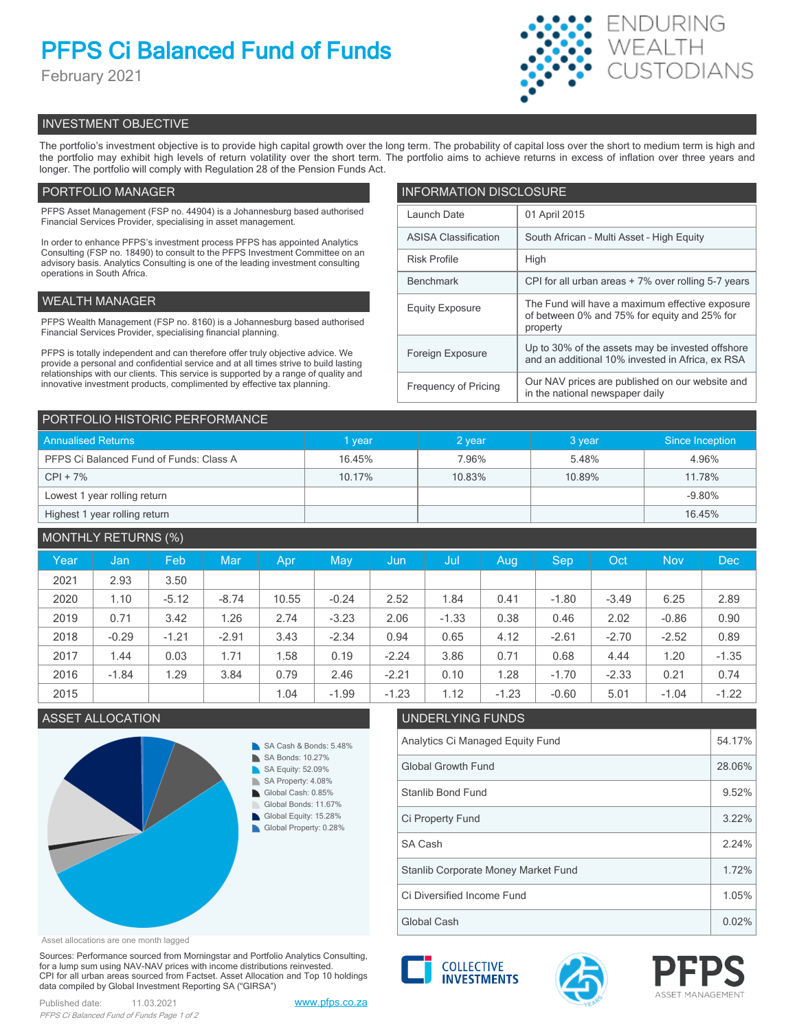# **PFPS Ci Balanced Fund of Funds**

February 2021



## INVESTMENT OBJECTIVE

The portfolio's investment objective is to provide high capital growth over the long term. The probability of capital loss over the short to medium term is high and the portfolio may exhibit high levels of return volatility over the short term. The portfolio aims to achieve returns in excess of inflation over three years and longer. The portfolio will comply with Regulation 28 of the Pension Funds Act.

## PORTFOLIO MANAGER

PFPS Asset Management (FSP no. 44904) is a Johannesburg based authorised Financial Services Provider, specialising in asset management.

In order to enhance PFPS's investment process PFPS has appointed Analytics Consulting (FSP no. 18490) to consult to the PFPS Investment Committee on an advisory basis. Analytics Consulting is one of the leading investment consulting operations in South Africa.

## WEALTH MANAGER

PFPS Wealth Management (FSP no. 8160) is a Johannesburg based authorised Financial Services Provider, specialising financial planning.

PFPS is totally independent and can therefore offer truly objective advice. We provide a personal and confidential service and at all times strive to build lasting relationships with our clients. This service is supported by a range of quality and innovative investment products, complimented by effective tax planning.

| <b>INFORMATION DISCLOSURE</b> |                                                                                                             |  |  |
|-------------------------------|-------------------------------------------------------------------------------------------------------------|--|--|
| Launch Date                   | 01 April 2015                                                                                               |  |  |
| <b>ASISA Classification</b>   | South African - Multi Asset - High Equity                                                                   |  |  |
| <b>Risk Profile</b>           | High                                                                                                        |  |  |
| <b>Benchmark</b>              | CPI for all urban areas + 7% over rolling 5-7 years                                                         |  |  |
| <b>Equity Exposure</b>        | The Fund will have a maximum effective exposure<br>of between 0% and 75% for equity and 25% for<br>property |  |  |
| Foreign Exposure              | Up to 30% of the assets may be invested offshore<br>and an additional 10% invested in Africa, ex RSA        |  |  |
| <b>Frequency of Pricing</b>   | Our NAV prices are published on our website and<br>in the national newspaper daily                          |  |  |

| PORTFOLIO HISTORIC PERFORMANCE          |             |        |        |                 |  |  |
|-----------------------------------------|-------------|--------|--------|-----------------|--|--|
| <b>Annualised Returns</b>               | <b>vear</b> | 2 year | 3 year | Since Inception |  |  |
| PFPS Ci Balanced Fund of Funds: Class A | 16.45%      | 7.96%  | 5.48%  | 4.96%           |  |  |
| $CPI + 7%$                              | 10.17%      | 10.83% | 10.89% | 11.78%          |  |  |
| Lowest 1 year rolling return            |             |        |        | $-9.80%$        |  |  |
| Highest 1 year rolling return           |             |        |        | 16.45%          |  |  |

## MONTHLY RETURNS (%) Year | Jan | Feb | Mar | Apr | May | Jun | Jul | Aug | Sep | Oct | Nov | Dec 2021 | 2.93 | 3.50 2020 | 1.10 | -5.12 | -8.74 | 10.55 | -0.24 | 2.52 | 1.84 | 0.41 | -1.80 | -3.49 | 6.25 | 2.89 2019 0.71 3.42 1.26 2.74 -3.23 2.06 -1.33 0.38 0.46 2.02 -0.86 0.90 2018 | -0.29 | -1.21 | -2.91 | 3.43 | -2.34 | 0.94 | 0.65 | 4.12 | -2.61 | -2.70 | -2.52 | 0.89 2017 | 1.44 | 0.03 | 1.71 | 1.58 | 0.19 | -2.24 | 3.86 | 0.71 | 0.68 | 4.44 | 1.20 | -1.35 2016 | -1.84 | 1.29 | 3.84 | 0.79 | 2.46 | -2.21 | 0.10 | 1.28 | -1.70 | -2.33 | 0.21 | 0.74 2015 1.04 -1.99 -1.23 1.12 -1.23 -0.60 5.01 -1.04 -1.22

## ASSET ALLOCATION UNDERLYING FUNDS



## Analytics Ci Managed Equity Fund 54.17% Global Growth Fund 28.06% Stanlib Bond Fund 9.52% SA Cash 2.24% Ci Property Fund 3.22% Stanlib Corporate Money Market Fund 1.72%

Asset allocations are one month lagged

Sources: Performance sourced from Morningstar and Portfolio Analytics Consulting, for a lump sum using NAV-NAV prices with income distributions reinvested. CPI for all urban areas sourced from Factset. Asset Allocation and Top 10 holdings data compiled by Global Investment Reporting SA ("GIRSA")





Global Cash  $\vert$  0.02% Ci Diversified Income Fund 1.05%